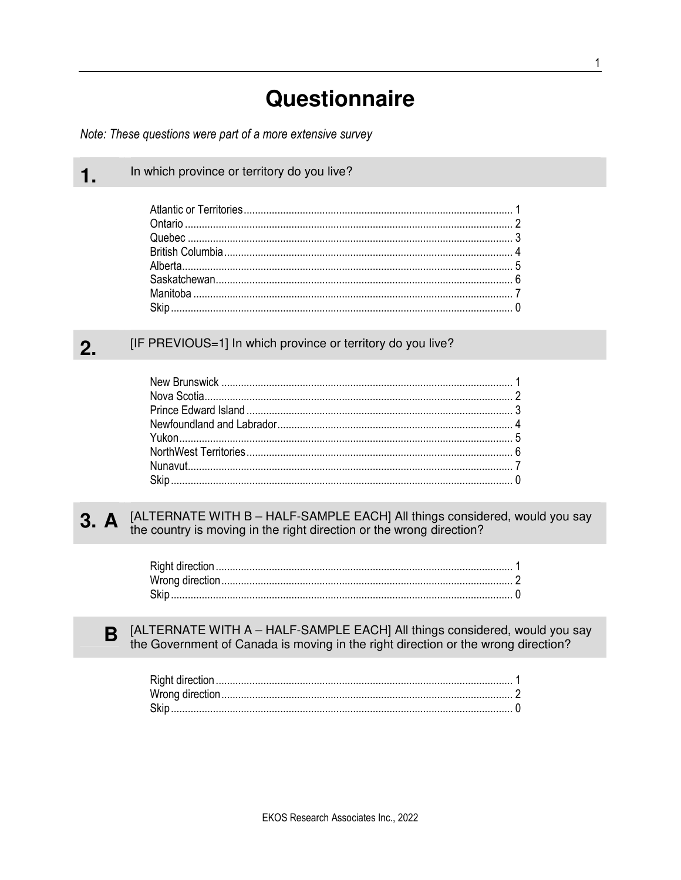# Questionnaire

Note: These questions were part of a more extensive survey

 $\mathbf 1$ .

B

In which province or territory do you live?

 $\sum_{i=1}^{n}$ 

#### [IF PREVIOUS=1] In which province or territory do you live?  $2.$

[ALTERNATE WITH B - HALF-SAMPLE EACH] All things considered, would you say  $3. A$ the country is moving in the right direction or the wrong direction?

[ALTERNATE WITH A - HALF-SAMPLE EACH] All things considered, would you say the Government of Canada is moving in the right direction or the wrong direction?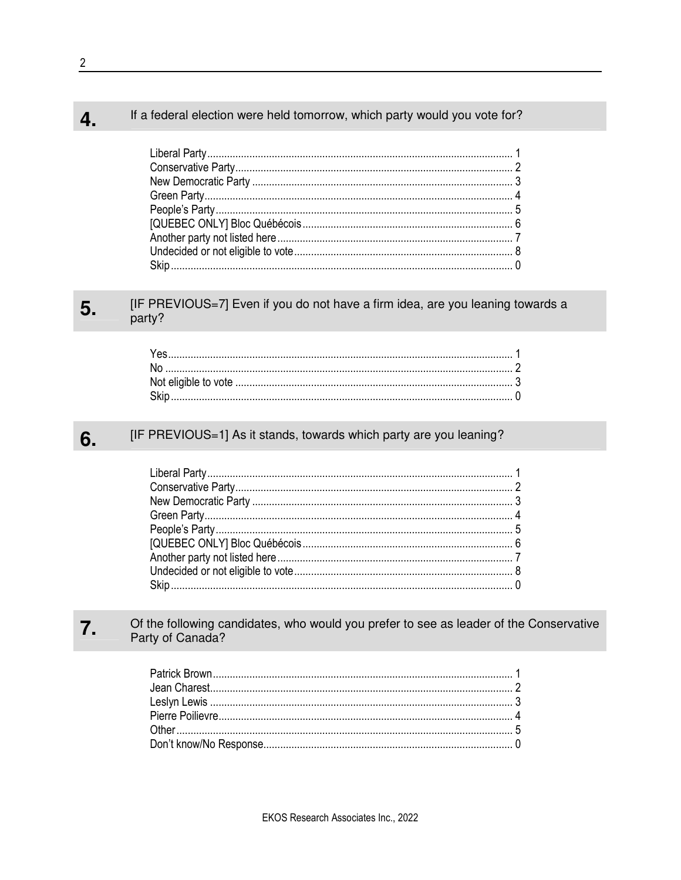#### If a federal election were held tomorrow, which party would you vote for? 4.

#### [IF PREVIOUS=7] Even if you do not have a firm idea, are you leaning towards a 5. party?

#### 6. [IF PREVIOUS=1] As it stands, towards which party are you leaning?

#### $7.$ Of the following candidates, who would you prefer to see as leader of the Conservative Party of Canada?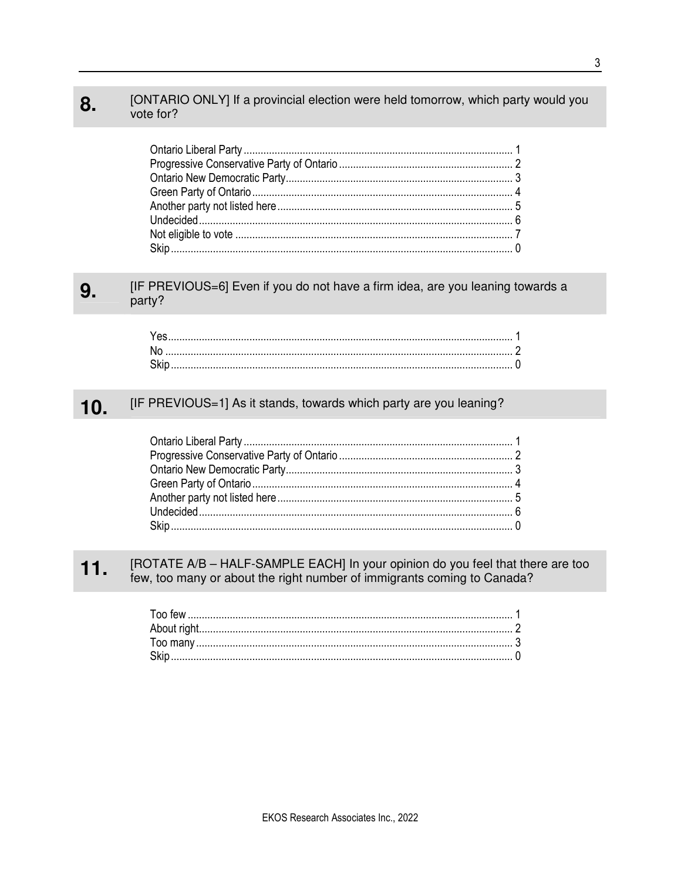#### [ONTARIO ONLY] If a provincial election were held tomorrow, which party would you 8. vote for?

#### [IF PREVIOUS=6] Even if you do not have a firm idea, are you leaning towards a 9. party?

| .Skin |  |
|-------|--|

#### 10. [IF PREVIOUS=1] As it stands, towards which party are you leaning?

#### [ROTATE A/B - HALF-SAMPLE EACH] In your opinion do you feel that there are too  $11.$ few, too many or about the right number of immigrants coming to Canada?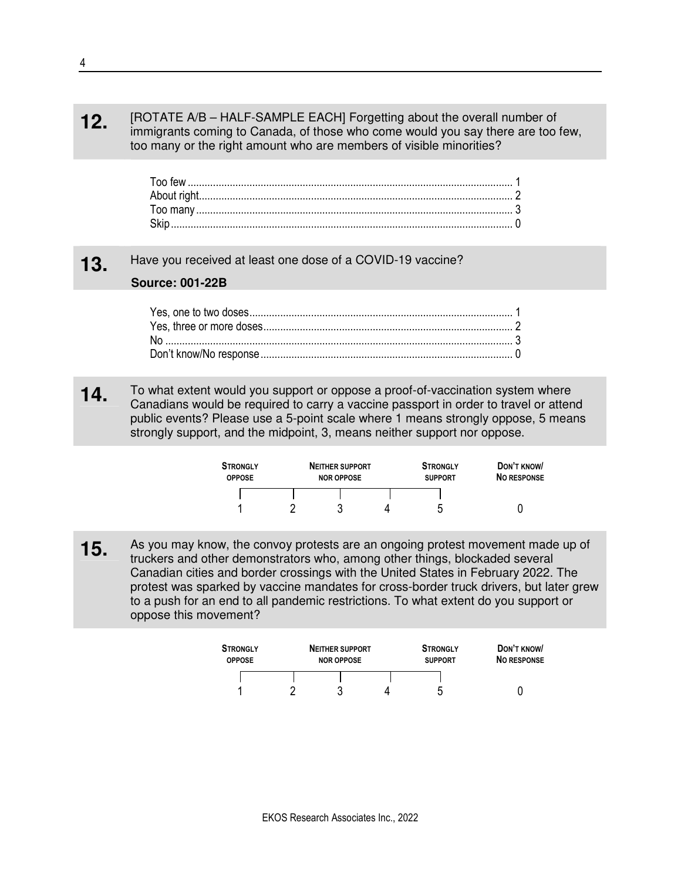### **12.** [ROTATE A/B – HALF-SAMPLE EACH] Forgetting about the overall number of immigrants coming to Canada, of those who come would you say there are too few, too many or the right amount who are members of visible minorities?

# **13.** Have you received at least one dose of a COVID-19 vaccine?

## **Source: 001-22B**

**14** To what extent would you support or oppose a proof-of-vaccination system where Canadians would be required to carry a vaccine passport in order to travel or attend public events? Please use a 5-point scale where 1 means strongly oppose, 5 means strongly support, and the midpoint, 3, means neither support nor oppose.

| <b>STRONGLY</b><br><b>OPPOSE</b> | <b>NEITHER SUPPORT</b><br><b>NOR OPPOSE</b> | <b>STRONGLY</b><br><b>SUPPORT</b> | DON'T KNOW/<br><b>NO RESPONSE</b> |
|----------------------------------|---------------------------------------------|-----------------------------------|-----------------------------------|
|                                  |                                             | 5                                 |                                   |

**15.** As you may know, the convoy protests are an ongoing protest movement made up of truckers and other demonstrators who, among other things, blockaded several Canadian cities and border crossings with the United States in February 2022. The protest was sparked by vaccine mandates for cross-border truck drivers, but later grew to a push for an end to all pandemic restrictions. To what extent do you support or oppose this movement?

| <b>STRONGLY</b><br><b>OPPOSE</b> | <b>NEITHER SUPPORT</b><br><b>NOR OPPOSE</b> | <b>STRONGLY</b><br><b>SUPPORT</b> | DON'T KNOW<br><b>NO RESPONSE</b> |
|----------------------------------|---------------------------------------------|-----------------------------------|----------------------------------|
|                                  |                                             |                                   |                                  |
|                                  |                                             | ∽                                 |                                  |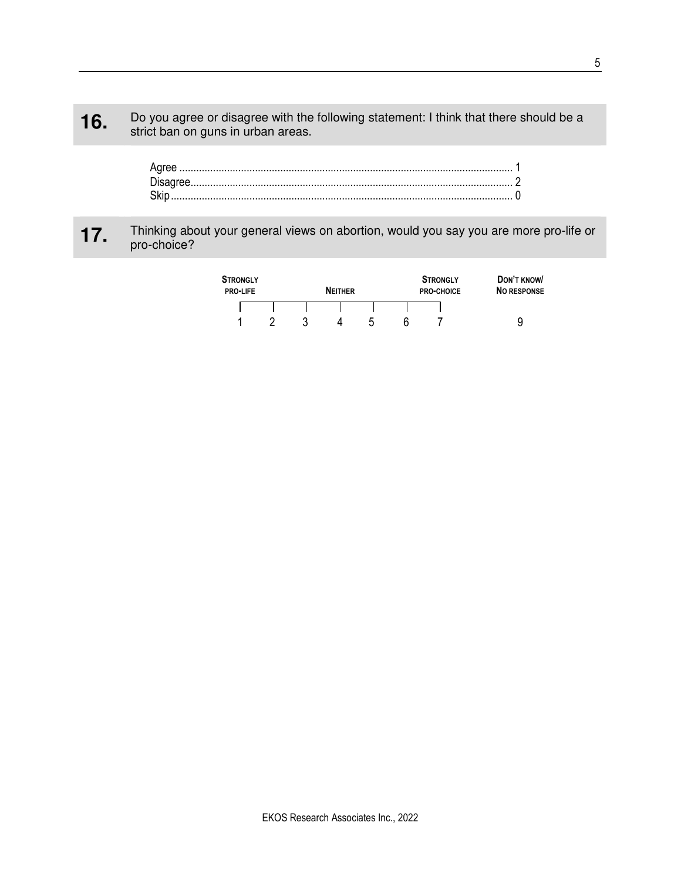## **16.** Do you agree or disagree with the following statement: I think that there should be a strict han an guns in when areas. strict ban on guns in urban areas.

# **17.** Thinking about your general views on abortion, would you say you are more pro-life or pro-choice?

| <b>STRONGLY</b><br><b>PRO-LIFE</b> |  |   | <b>NEITHER</b> |                | <b>STRONGLY</b><br><b>PRO-CHOICE</b> | DON'T KNOW<br><b>NO RESPONSE</b> |
|------------------------------------|--|---|----------------|----------------|--------------------------------------|----------------------------------|
|                                    |  |   |                |                |                                      |                                  |
|                                    |  | 3 | 4              | $\mathfrak{D}$ |                                      | 9                                |